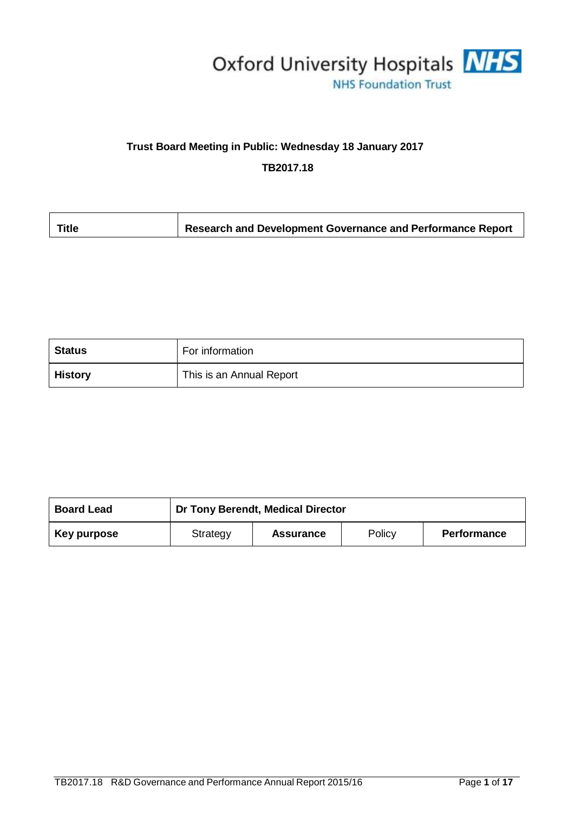

# **Trust Board Meeting in Public: Wednesday 18 January 2017**

**TB2017.18**

| Research and Development Governance and Performance Report<br>Title |
|---------------------------------------------------------------------|
|---------------------------------------------------------------------|

| <b>Status</b>  | For information          |
|----------------|--------------------------|
| <b>History</b> | This is an Annual Report |

| <b>Board Lead</b> | Dr Tony Berendt, Medical Director |                  |        |                    |
|-------------------|-----------------------------------|------------------|--------|--------------------|
| Key purpose       | Strategy                          | <b>Assurance</b> | Policy | <b>Performance</b> |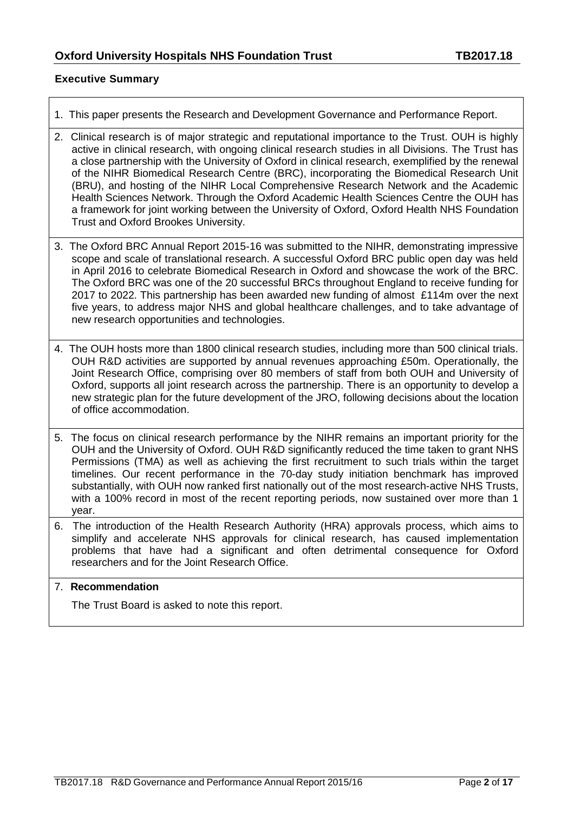## **Executive Summary**

- 1. This paper presents the Research and Development Governance and Performance Report.
- 2. Clinical research is of major strategic and reputational importance to the Trust. OUH is highly active in clinical research, with ongoing clinical research studies in all Divisions. The Trust has a close partnership with the University of Oxford in clinical research, exemplified by the renewal of the NIHR Biomedical Research Centre (BRC), incorporating the Biomedical Research Unit (BRU), and hosting of the NIHR Local Comprehensive Research Network and the Academic Health Sciences Network. Through the Oxford Academic Health Sciences Centre the OUH has a framework for joint working between the University of Oxford, Oxford Health NHS Foundation Trust and Oxford Brookes University.
- 3. The Oxford BRC Annual Report 2015-16 was submitted to the NIHR, demonstrating impressive scope and scale of translational research. A successful Oxford BRC public open day was held in April 2016 to celebrate Biomedical Research in Oxford and showcase the work of the BRC. The Oxford BRC was one of the 20 successful BRCs throughout England to receive funding for 2017 to 2022. This partnership has been awarded new funding of almost £114m over the next five years, to address major NHS and global healthcare challenges, and to take advantage of new research opportunities and technologies.
- 4. The OUH hosts more than 1800 clinical research studies, including more than 500 clinical trials. OUH R&D activities are supported by annual revenues approaching £50m. Operationally, the Joint Research Office, comprising over 80 members of staff from both OUH and University of Oxford, supports all joint research across the partnership. There is an opportunity to develop a new strategic plan for the future development of the JRO, following decisions about the location of office accommodation.
- 5. The focus on clinical research performance by the NIHR remains an important priority for the OUH and the University of Oxford. OUH R&D significantly reduced the time taken to grant NHS Permissions (TMA) as well as achieving the first recruitment to such trials within the target timelines. Our recent performance in the 70-day study initiation benchmark has improved substantially, with OUH now ranked first nationally out of the most research-active NHS Trusts, with a 100% record in most of the recent reporting periods, now sustained over more than 1 year.
- 6. The introduction of the Health Research Authority (HRA) approvals process, which aims to simplify and accelerate NHS approvals for clinical research, has caused implementation problems that have had a significant and often detrimental consequence for Oxford researchers and for the Joint Research Office.

#### 7. **Recommendation**

The Trust Board is asked to note this report.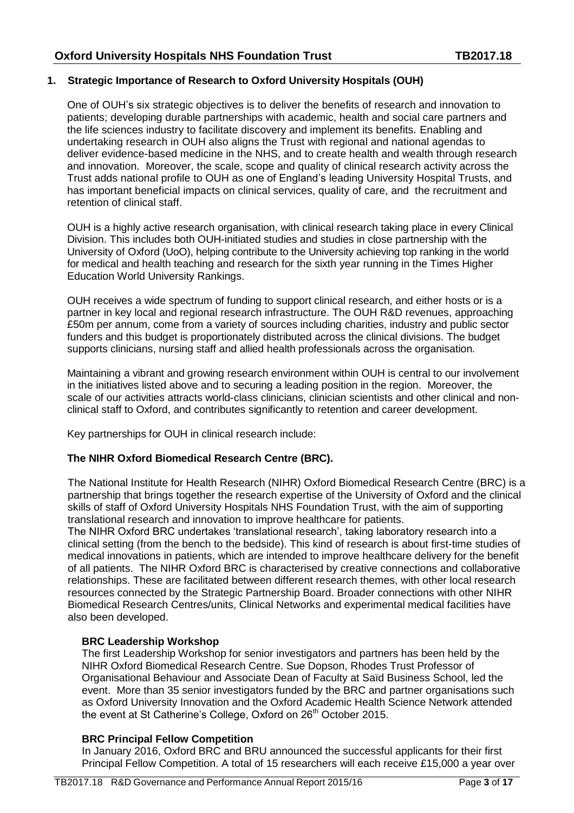## **1. Strategic Importance of Research to Oxford University Hospitals (OUH)**

One of OUH's six strategic objectives is to deliver the benefits of research and innovation to patients; developing durable partnerships with academic, health and social care partners and the life sciences industry to facilitate discovery and implement its benefits. Enabling and undertaking research in OUH also aligns the Trust with regional and national agendas to deliver evidence-based medicine in the NHS, and to create health and wealth through research and innovation. Moreover, the scale, scope and quality of clinical research activity across the Trust adds national profile to OUH as one of England's leading University Hospital Trusts, and has important beneficial impacts on clinical services, quality of care, and the recruitment and retention of clinical staff.

OUH is a highly active research organisation, with clinical research taking place in every Clinical Division. This includes both OUH-initiated studies and studies in close partnership with the University of Oxford (UoO), helping contribute to the University achieving top ranking in the world for medical and health teaching and research for the sixth year running in the Times Higher Education World University Rankings.

OUH receives a wide spectrum of funding to support clinical research, and either hosts or is a partner in key local and regional research infrastructure. The OUH R&D revenues, approaching £50m per annum, come from a variety of sources including charities, industry and public sector funders and this budget is proportionately distributed across the clinical divisions. The budget supports clinicians, nursing staff and allied health professionals across the organisation.

Maintaining a vibrant and growing research environment within OUH is central to our involvement in the initiatives listed above and to securing a leading position in the region. Moreover, the scale of our activities attracts world-class clinicians, clinician scientists and other clinical and nonclinical staff to Oxford, and contributes significantly to retention and career development.

Key partnerships for OUH in clinical research include:

## **The NIHR Oxford Biomedical Research Centre (BRC).**

The National Institute for Health Research (NIHR) Oxford Biomedical Research Centre (BRC) is a partnership that brings together the research expertise of the University of Oxford and the clinical skills of staff of Oxford University Hospitals NHS Foundation Trust, with the aim of supporting translational research and innovation to improve healthcare for patients.

The NIHR Oxford BRC undertakes 'translational research', taking laboratory research into a clinical setting (from the bench to the bedside). This kind of research is about first-time studies of medical innovations in patients, which are intended to improve healthcare delivery for the benefit of all patients. The NIHR Oxford BRC is characterised by creative connections and collaborative relationships. These are facilitated between different research themes, with other local research resources connected by the Strategic Partnership Board. Broader connections with other NIHR Biomedical Research Centres/units, Clinical Networks and experimental medical facilities have also been developed.

#### **BRC Leadership Workshop**

The first Leadership Workshop for senior investigators and partners has been held by the NIHR Oxford Biomedical Research Centre. Sue Dopson, Rhodes Trust Professor of Organisational Behaviour and Associate Dean of Faculty at Saïd Business School, led the event. More than 35 senior investigators funded by the BRC and partner organisations such as Oxford University Innovation and the Oxford Academic Health Science Network attended the event at St Catherine's College, Oxford on 26<sup>th</sup> October 2015.

## **BRC Principal Fellow Competition**

In January 2016, Oxford BRC and BRU announced the successful applicants for their first Principal Fellow Competition. A total of 15 researchers will each receive £15,000 a year over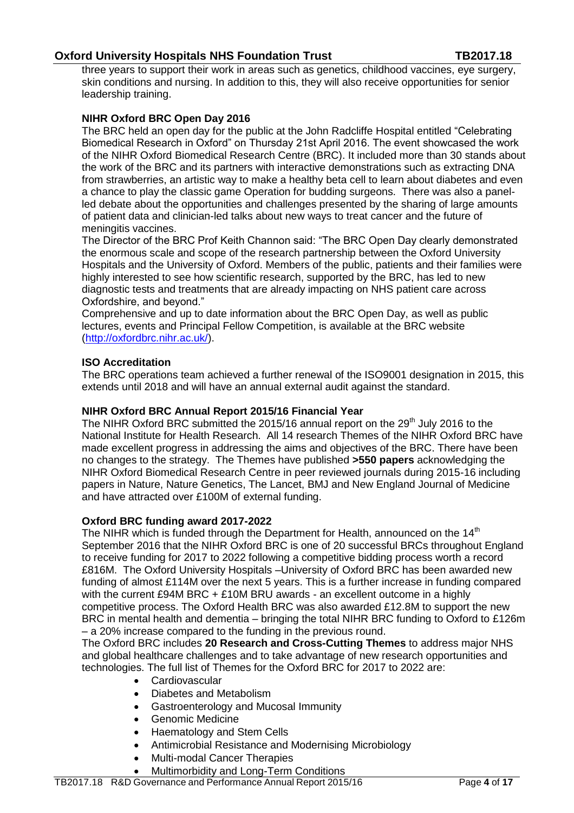three years to support their work in areas such as genetics, childhood vaccines, eye surgery, skin conditions and nursing. In addition to this, they will also receive opportunities for senior leadership training.

## **NIHR Oxford BRC Open Day 2016**

The BRC held an open day for the public at the John Radcliffe Hospital entitled "Celebrating Biomedical Research in Oxford" on Thursday 21st April 2016. The event showcased the work of the NIHR Oxford Biomedical Research Centre (BRC). It included more than 30 stands about the work of the BRC and its partners with interactive demonstrations such as extracting DNA from strawberries, an artistic way to make a healthy beta cell to learn about diabetes and even a chance to play the classic game Operation for budding surgeons. There was also a panelled debate about the opportunities and challenges presented by the sharing of large amounts of patient data and clinician-led talks about new ways to treat cancer and the future of meningitis vaccines.

The Director of the BRC Prof Keith Channon said: "The BRC Open Day clearly demonstrated the enormous scale and scope of the research partnership between the Oxford University Hospitals and the University of Oxford. Members of the public, patients and their families were highly interested to see how scientific research, supported by the BRC, has led to new diagnostic tests and treatments that are already impacting on NHS patient care across Oxfordshire, and beyond."

Comprehensive and up to date information about the BRC Open Day, as well as public lectures, events and Principal Fellow Competition, is available at the BRC website [\(http://oxfordbrc.nihr.ac.uk/\)](http://oxfordbrc.nihr.ac.uk/).

## **ISO Accreditation**

The BRC operations team achieved a further renewal of the ISO9001 designation in 2015, this extends until 2018 and will have an annual external audit against the standard.

#### **NIHR Oxford BRC Annual Report 2015/16 Financial Year**

The NIHR Oxford BRC submitted the 2015/16 annual report on the  $29<sup>th</sup>$  July 2016 to the National Institute for Health Research. All 14 research Themes of the NIHR Oxford BRC have made excellent progress in addressing the aims and objectives of the BRC. There have been no changes to the strategy. The Themes have published **>550 papers** acknowledging the NIHR Oxford Biomedical Research Centre in peer reviewed journals during 2015-16 including papers in Nature, Nature Genetics, The Lancet, BMJ and New England Journal of Medicine and have attracted over £100M of external funding.

#### **Oxford BRC funding award 2017-2022**

The NIHR which is funded through the Department for Health, announced on the  $14<sup>th</sup>$ September 2016 that the NIHR Oxford BRC is one of 20 successful BRCs throughout England to receive funding for 2017 to 2022 following a competitive bidding process worth a record £816M. The Oxford University Hospitals –University of Oxford BRC has been awarded new funding of almost £114M over the next 5 years. This is a further increase in funding compared with the current £94M BRC + £10M BRU awards - an excellent outcome in a highly competitive process. The Oxford Health BRC was also awarded £12.8M to support the new BRC in mental health and dementia – bringing the total NIHR BRC funding to Oxford to £126m – a 20% increase compared to the funding in the previous round.

The Oxford BRC includes **20 Research and Cross-Cutting Themes** to address major NHS and global healthcare challenges and to take advantage of new research opportunities and technologies. The full list of Themes for the Oxford BRC for 2017 to 2022 are:

- **Cardiovascular**
- Diabetes and Metabolism
- Gastroenterology and Mucosal Immunity
- Genomic Medicine
- Haematology and Stem Cells
- Antimicrobial Resistance and Modernising Microbiology
- Multi-modal Cancer Therapies
- Multimorbidity and Long-Term Conditions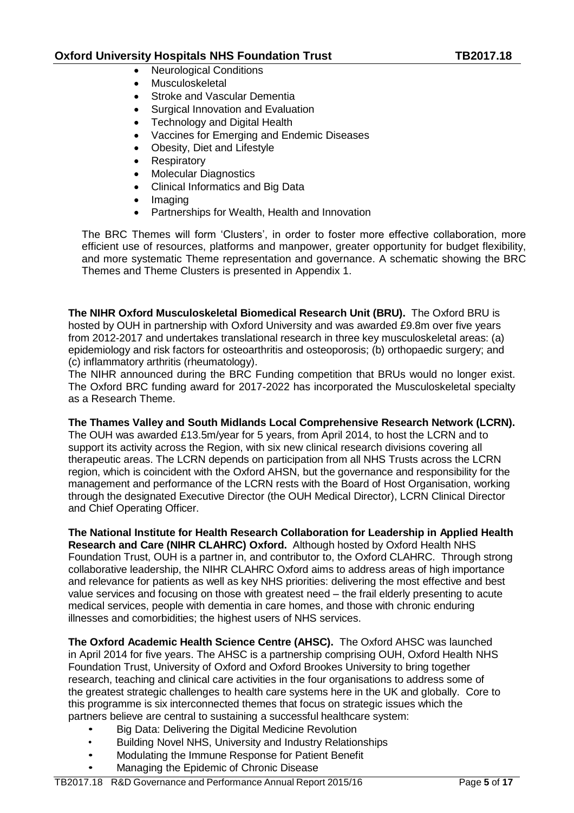- Neurological Conditions
- Musculoskeletal
- Stroke and Vascular Dementia
- Surgical Innovation and Evaluation
- Technology and Digital Health
- Vaccines for Emerging and Endemic Diseases
- Obesity, Diet and Lifestyle
- Respiratory
- Molecular Diagnostics
- Clinical Informatics and Big Data
- Imaging
- Partnerships for Wealth, Health and Innovation

The BRC Themes will form 'Clusters', in order to foster more effective collaboration, more efficient use of resources, platforms and manpower, greater opportunity for budget flexibility, and more systematic Theme representation and governance. A schematic showing the BRC Themes and Theme Clusters is presented in Appendix 1.

**The NIHR Oxford Musculoskeletal Biomedical Research Unit (BRU).** The Oxford BRU is hosted by OUH in partnership with Oxford University and was awarded £9.8m over five years from 2012-2017 and undertakes translational research in three key musculoskeletal areas: (a) epidemiology and risk factors for osteoarthritis and osteoporosis; (b) orthopaedic surgery; and (c) inflammatory arthritis (rheumatology).

The NIHR announced during the BRC Funding competition that BRUs would no longer exist. The Oxford BRC funding award for 2017-2022 has incorporated the Musculoskeletal specialty as a Research Theme.

#### **The Thames Valley and South Midlands Local Comprehensive Research Network (LCRN).**

The OUH was awarded £13.5m/year for 5 years, from April 2014, to host the LCRN and to support its activity across the Region, with six new clinical research divisions covering all therapeutic areas. The LCRN depends on participation from all NHS Trusts across the LCRN region, which is coincident with the Oxford AHSN, but the governance and responsibility for the management and performance of the LCRN rests with the Board of Host Organisation, working through the designated Executive Director (the OUH Medical Director), LCRN Clinical Director and Chief Operating Officer.

**The National Institute for Health Research Collaboration for Leadership in Applied Health Research and Care (NIHR CLAHRC) Oxford.** Although hosted by Oxford Health NHS Foundation Trust, OUH is a partner in, and contributor to, the Oxford CLAHRC. Through strong collaborative leadership, the NIHR CLAHRC Oxford aims to address areas of high importance and relevance for patients as well as key NHS priorities: delivering the most effective and best value services and focusing on those with greatest need – the frail elderly presenting to acute medical services, people with dementia in care homes, and those with chronic enduring illnesses and comorbidities; the highest users of NHS services.

**The Oxford Academic Health Science Centre (AHSC).** The Oxford AHSC was launched in April 2014 for five years. The AHSC is a partnership comprising OUH, Oxford Health NHS Foundation Trust, University of Oxford and Oxford Brookes University to bring together research, teaching and clinical care activities in the four organisations to address some of the greatest strategic challenges to health care systems here in the UK and globally. Core to this programme is six interconnected themes that focus on strategic issues which the partners believe are central to sustaining a successful healthcare system:

- Big Data: Delivering the Digital Medicine Revolution
- Building Novel NHS, University and Industry Relationships
- Modulating the Immune Response for Patient Benefit
- Managing the Epidemic of Chronic Disease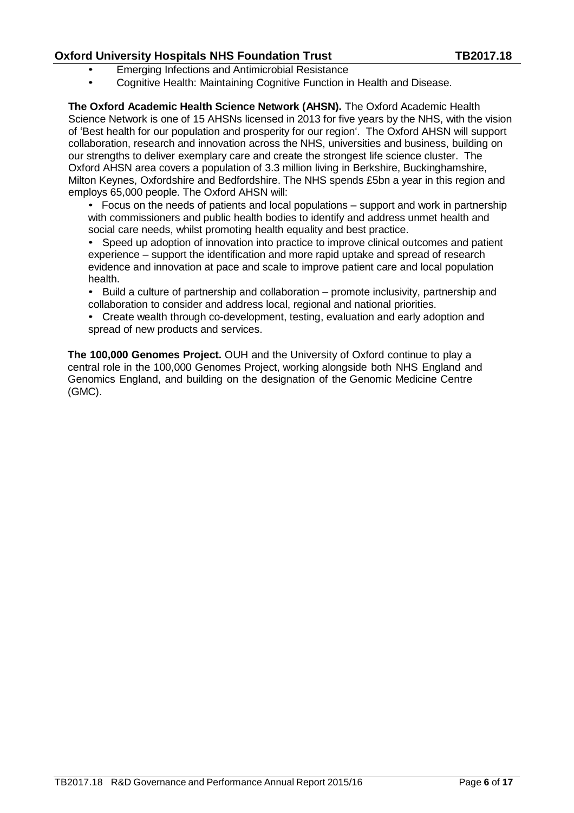- Emerging Infections and Antimicrobial Resistance
- Cognitive Health: Maintaining Cognitive Function in Health and Disease.

**The Oxford Academic Health Science Network (AHSN).** The Oxford Academic Health Science Network is one of 15 AHSNs licensed in 2013 for five years by the NHS, with the vision of 'Best health for our population and prosperity for our region'. The Oxford AHSN will support collaboration, research and innovation across the NHS, universities and business, building on our strengths to deliver exemplary care and create the strongest life science cluster. The Oxford AHSN area covers a population of 3.3 million living in Berkshire, Buckinghamshire, Milton Keynes, Oxfordshire and Bedfordshire. The NHS spends £5bn a year in this region and employs 65,000 people. The Oxford AHSN will:

• Focus on the needs of patients and local populations – support and work in partnership with commissioners and public health bodies to identify and address unmet health and social care needs, whilst promoting health equality and best practice.

• Speed up adoption of innovation into practice to improve clinical outcomes and patient experience – support the identification and more rapid uptake and spread of research evidence and innovation at pace and scale to improve patient care and local population health.

• Build a culture of partnership and collaboration – promote inclusivity, partnership and collaboration to consider and address local, regional and national priorities.

• Create wealth through co-development, testing, evaluation and early adoption and spread of new products and services.

**The 100,000 Genomes Project.** OUH and the University of Oxford continue to play a central role in the 100,000 Genomes Project, working alongside both NHS England and Genomics England, and building on the designation of the Genomic Medicine Centre (GMC).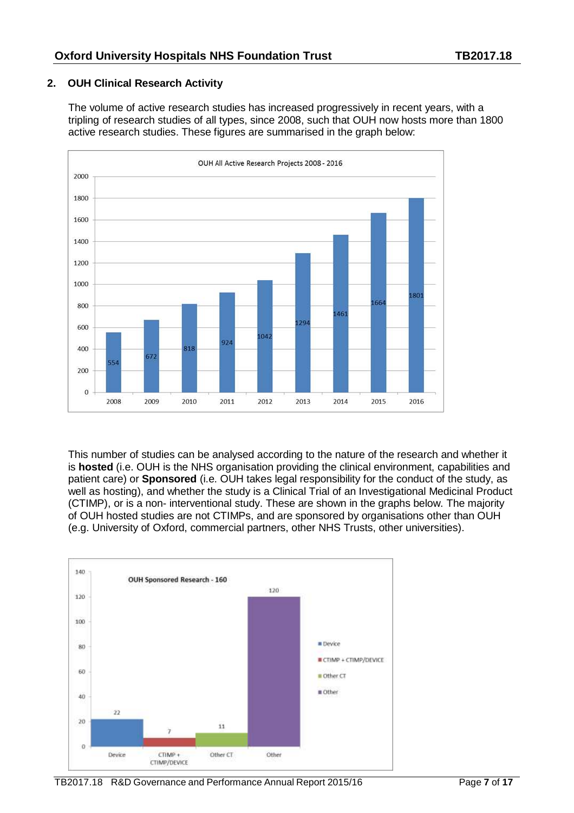## **2. OUH Clinical Research Activity**

The volume of active research studies has increased progressively in recent years, with a tripling of research studies of all types, since 2008, such that OUH now hosts more than 1800 active research studies. These figures are summarised in the graph below:



This number of studies can be analysed according to the nature of the research and whether it is **hosted** (i.e. OUH is the NHS organisation providing the clinical environment, capabilities and patient care) or **Sponsored** (i.e. OUH takes legal responsibility for the conduct of the study, as well as hosting), and whether the study is a Clinical Trial of an Investigational Medicinal Product (CTIMP), or is a non- interventional study. These are shown in the graphs below. The majority of OUH hosted studies are not CTIMPs, and are sponsored by organisations other than OUH (e.g. University of Oxford, commercial partners, other NHS Trusts, other universities).



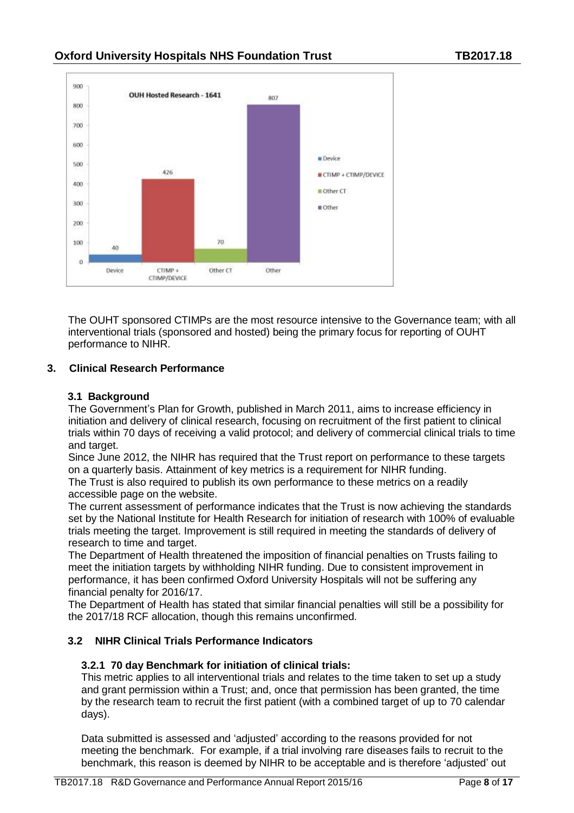

The OUHT sponsored CTIMPs are the most resource intensive to the Governance team; with all interventional trials (sponsored and hosted) being the primary focus for reporting of OUHT performance to NIHR.

## **3. Clinical Research Performance**

## **3.1 Background**

The Government's Plan for Growth, published in March 2011, aims to increase efficiency in initiation and delivery of clinical research, focusing on recruitment of the first patient to clinical trials within 70 days of receiving a valid protocol; and delivery of commercial clinical trials to time and target.

Since June 2012, the NIHR has required that the Trust report on performance to these targets on a quarterly basis. Attainment of key metrics is a requirement for NIHR funding.

The Trust is also required to publish its own performance to these metrics on a readily accessible page on the website.

The current assessment of performance indicates that the Trust is now achieving the standards set by the National Institute for Health Research for initiation of research with 100% of evaluable trials meeting the target. Improvement is still required in meeting the standards of delivery of research to time and target.

The Department of Health threatened the imposition of financial penalties on Trusts failing to meet the initiation targets by withholding NIHR funding. Due to consistent improvement in performance, it has been confirmed Oxford University Hospitals will not be suffering any financial penalty for 2016/17.

The Department of Health has stated that similar financial penalties will still be a possibility for the 2017/18 RCF allocation, though this remains unconfirmed.

## **3.2 NIHR Clinical Trials Performance Indicators**

## **3.2.1 70 day Benchmark for initiation of clinical trials:**

This metric applies to all interventional trials and relates to the time taken to set up a study and grant permission within a Trust; and, once that permission has been granted, the time by the research team to recruit the first patient (with a combined target of up to 70 calendar days).

Data submitted is assessed and 'adjusted' according to the reasons provided for not meeting the benchmark. For example, if a trial involving rare diseases fails to recruit to the benchmark, this reason is deemed by NIHR to be acceptable and is therefore 'adjusted' out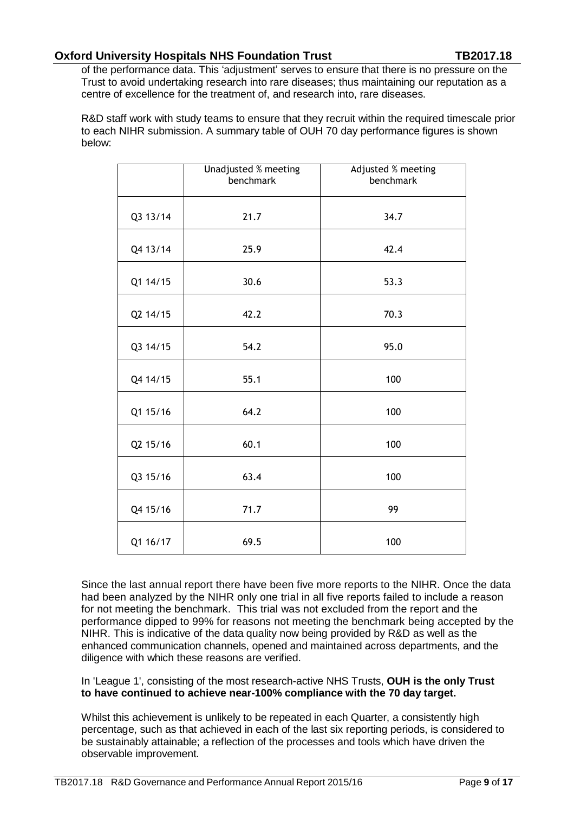of the performance data. This 'adjustment' serves to ensure that there is no pressure on the Trust to avoid undertaking research into rare diseases; thus maintaining our reputation as a centre of excellence for the treatment of, and research into, rare diseases.

R&D staff work with study teams to ensure that they recruit within the required timescale prior to each NIHR submission. A summary table of OUH 70 day performance figures is shown below:

|          | <b>Unadjusted % meeting</b><br>benchmark | Adjusted % meeting<br>benchmark |  |
|----------|------------------------------------------|---------------------------------|--|
| Q3 13/14 | 21.7                                     | 34.7                            |  |
| Q4 13/14 | 25.9                                     | 42.4                            |  |
| Q1 14/15 | 30.6                                     | 53.3                            |  |
| Q2 14/15 | 42.2                                     | 70.3                            |  |
| Q3 14/15 | 54.2                                     | 95.0                            |  |
| Q4 14/15 | 55.1                                     | 100                             |  |
| Q1 15/16 | 64.2                                     | 100                             |  |
| Q2 15/16 | 60.1                                     | 100                             |  |
| Q3 15/16 | 63.4                                     | 100                             |  |
| Q4 15/16 | 71.7                                     | 99                              |  |
| Q1 16/17 | 69.5                                     | 100                             |  |

Since the last annual report there have been five more reports to the NIHR. Once the data had been analyzed by the NIHR only one trial in all five reports failed to include a reason for not meeting the benchmark. This trial was not excluded from the report and the performance dipped to 99% for reasons not meeting the benchmark being accepted by the NIHR. This is indicative of the data quality now being provided by R&D as well as the enhanced communication channels, opened and maintained across departments, and the diligence with which these reasons are verified.

In 'League 1', consisting of the most research-active NHS Trusts, **OUH is the only Trust to have continued to achieve near-100% compliance with the 70 day target.**

Whilst this achievement is unlikely to be repeated in each Quarter, a consistently high percentage, such as that achieved in each of the last six reporting periods, is considered to be sustainably attainable; a reflection of the processes and tools which have driven the observable improvement.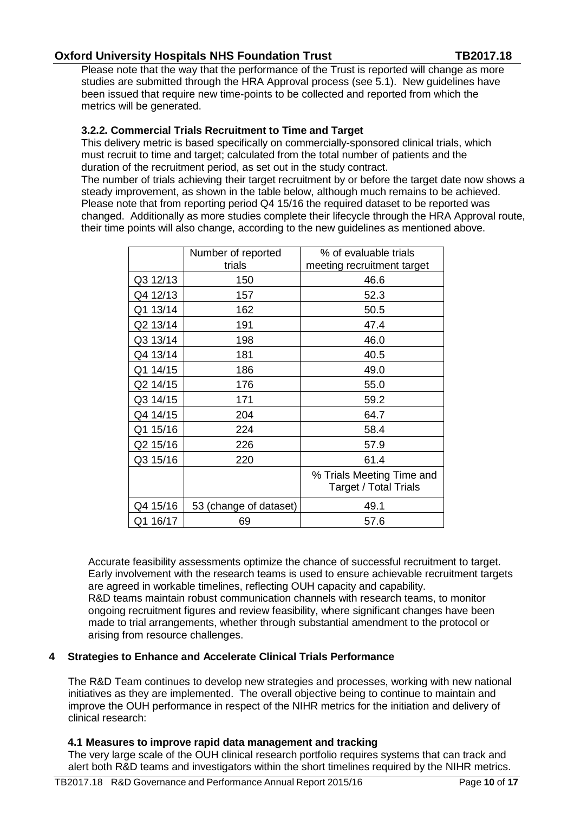Please note that the way that the performance of the Trust is reported will change as more studies are submitted through the HRA Approval process (see 5.1). New guidelines have been issued that require new time-points to be collected and reported from which the metrics will be generated.

## **3.2.2. Commercial Trials Recruitment to Time and Target**

This delivery metric is based specifically on commercially-sponsored clinical trials, which must recruit to time and target; calculated from the total number of patients and the duration of the recruitment period, as set out in the study contract.

The number of trials achieving their target recruitment by or before the target date now shows a steady improvement, as shown in the table below, although much remains to be achieved. Please note that from reporting period Q4 15/16 the required dataset to be reported was changed. Additionally as more studies complete their lifecycle through the HRA Approval route, their time points will also change, according to the new guidelines as mentioned above.

|          | Number of reported     | % of evaluable trials                                     |
|----------|------------------------|-----------------------------------------------------------|
|          | trials                 | meeting recruitment target                                |
| Q3 12/13 | 150                    | 46.6                                                      |
| Q4 12/13 | 157                    | 52.3                                                      |
| Q1 13/14 | 162                    | 50.5                                                      |
| Q2 13/14 | 191                    | 47.4                                                      |
| Q3 13/14 | 198                    | 46.0                                                      |
| Q4 13/14 | 181                    | 40.5                                                      |
| Q1 14/15 | 186                    | 49.0                                                      |
| Q2 14/15 | 176                    | 55.0                                                      |
| Q3 14/15 | 171                    | 59.2                                                      |
| Q4 14/15 | 204                    | 64.7                                                      |
| Q1 15/16 | 224                    | 58.4                                                      |
| Q2 15/16 | 226                    | 57.9                                                      |
| Q3 15/16 | 220                    | 61.4                                                      |
|          |                        | % Trials Meeting Time and<br><b>Target / Total Trials</b> |
| Q4 15/16 | 53 (change of dataset) | 49.1                                                      |
| Q1 16/17 | 69                     | 57.6                                                      |

Accurate feasibility assessments optimize the chance of successful recruitment to target. Early involvement with the research teams is used to ensure achievable recruitment targets are agreed in workable timelines, reflecting OUH capacity and capability. R&D teams maintain robust communication channels with research teams, to monitor ongoing recruitment figures and review feasibility, where significant changes have been made to trial arrangements, whether through substantial amendment to the protocol or arising from resource challenges.

#### **4 Strategies to Enhance and Accelerate Clinical Trials Performance**

The R&D Team continues to develop new strategies and processes, working with new national initiatives as they are implemented. The overall objective being to continue to maintain and improve the OUH performance in respect of the NIHR metrics for the initiation and delivery of clinical research:

#### **4.1 Measures to improve rapid data management and tracking**

The very large scale of the OUH clinical research portfolio requires systems that can track and alert both R&D teams and investigators within the short timelines required by the NIHR metrics.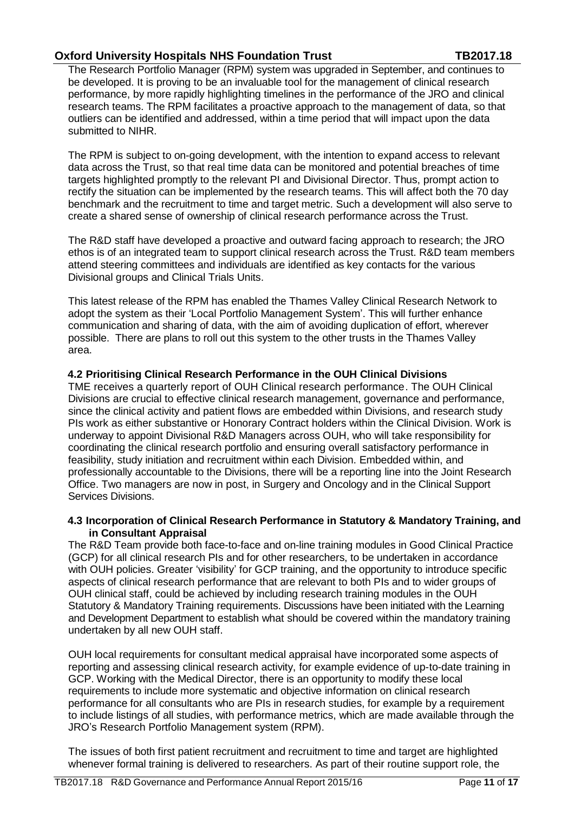The Research Portfolio Manager (RPM) system was upgraded in September, and continues to be developed. It is proving to be an invaluable tool for the management of clinical research performance, by more rapidly highlighting timelines in the performance of the JRO and clinical research teams. The RPM facilitates a proactive approach to the management of data, so that outliers can be identified and addressed, within a time period that will impact upon the data submitted to NIHR.

The RPM is subject to on-going development, with the intention to expand access to relevant data across the Trust, so that real time data can be monitored and potential breaches of time targets highlighted promptly to the relevant PI and Divisional Director. Thus, prompt action to rectify the situation can be implemented by the research teams. This will affect both the 70 day benchmark and the recruitment to time and target metric. Such a development will also serve to create a shared sense of ownership of clinical research performance across the Trust.

The R&D staff have developed a proactive and outward facing approach to research; the JRO ethos is of an integrated team to support clinical research across the Trust. R&D team members attend steering committees and individuals are identified as key contacts for the various Divisional groups and Clinical Trials Units.

This latest release of the RPM has enabled the Thames Valley Clinical Research Network to adopt the system as their 'Local Portfolio Management System'. This will further enhance communication and sharing of data, with the aim of avoiding duplication of effort, wherever possible. There are plans to roll out this system to the other trusts in the Thames Valley area.

## **4.2 Prioritising Clinical Research Performance in the OUH Clinical Divisions**

TME receives a quarterly report of OUH Clinical research performance. The OUH Clinical Divisions are crucial to effective clinical research management, governance and performance, since the clinical activity and patient flows are embedded within Divisions, and research study PIs work as either substantive or Honorary Contract holders within the Clinical Division. Work is underway to appoint Divisional R&D Managers across OUH, who will take responsibility for coordinating the clinical research portfolio and ensuring overall satisfactory performance in feasibility, study initiation and recruitment within each Division. Embedded within, and professionally accountable to the Divisions, there will be a reporting line into the Joint Research Office. Two managers are now in post, in Surgery and Oncology and in the Clinical Support Services Divisions.

#### **4.3 Incorporation of Clinical Research Performance in Statutory & Mandatory Training, and in Consultant Appraisal**

The R&D Team provide both face-to-face and on-line training modules in Good Clinical Practice (GCP) for all clinical research PIs and for other researchers, to be undertaken in accordance with OUH policies. Greater 'visibility' for GCP training, and the opportunity to introduce specific aspects of clinical research performance that are relevant to both PIs and to wider groups of OUH clinical staff, could be achieved by including research training modules in the OUH Statutory & Mandatory Training requirements. Discussions have been initiated with the Learning and Development Department to establish what should be covered within the mandatory training undertaken by all new OUH staff.

OUH local requirements for consultant medical appraisal have incorporated some aspects of reporting and assessing clinical research activity, for example evidence of up-to-date training in GCP. Working with the Medical Director, there is an opportunity to modify these local requirements to include more systematic and objective information on clinical research performance for all consultants who are PIs in research studies, for example by a requirement to include listings of all studies, with performance metrics, which are made available through the JRO's Research Portfolio Management system (RPM).

The issues of both first patient recruitment and recruitment to time and target are highlighted whenever formal training is delivered to researchers. As part of their routine support role, the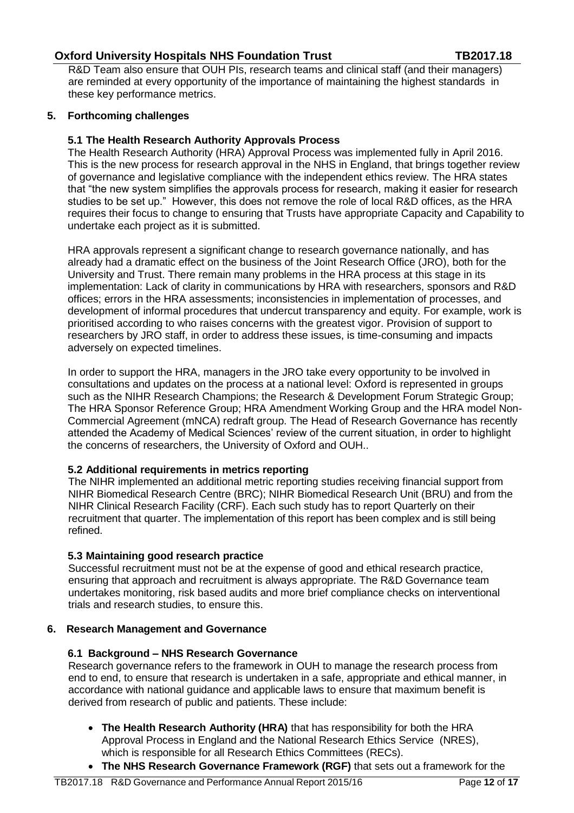R&D Team also ensure that OUH PIs, research teams and clinical staff (and their managers) are reminded at every opportunity of the importance of maintaining the highest standards in these key performance metrics.

## **5. Forthcoming challenges**

#### **5.1 The Health Research Authority Approvals Process**

The Health Research Authority (HRA) Approval Process was implemented fully in April 2016. This is the new process for research approval in the NHS in England, that brings together review of governance and legislative compliance with the independent ethics review. The HRA states that "the new system simplifies the approvals process for research, making it easier for research studies to be set up." However, this does not remove the role of local R&D offices, as the HRA requires their focus to change to ensuring that Trusts have appropriate Capacity and Capability to undertake each project as it is submitted.

HRA approvals represent a significant change to research governance nationally, and has already had a dramatic effect on the business of the Joint Research Office (JRO), both for the University and Trust. There remain many problems in the HRA process at this stage in its implementation: Lack of clarity in communications by HRA with researchers, sponsors and R&D offices; errors in the HRA assessments; inconsistencies in implementation of processes, and development of informal procedures that undercut transparency and equity. For example, work is prioritised according to who raises concerns with the greatest vigor. Provision of support to researchers by JRO staff, in order to address these issues, is time-consuming and impacts adversely on expected timelines.

In order to support the HRA, managers in the JRO take every opportunity to be involved in consultations and updates on the process at a national level: Oxford is represented in groups such as the NIHR Research Champions; the Research & Development Forum Strategic Group; The HRA Sponsor Reference Group; HRA Amendment Working Group and the HRA model Non-Commercial Agreement (mNCA) redraft group. The Head of Research Governance has recently attended the Academy of Medical Sciences' review of the current situation, in order to highlight the concerns of researchers, the University of Oxford and OUH..

#### **5.2 Additional requirements in metrics reporting**

The NIHR implemented an additional metric reporting studies receiving financial support from NIHR Biomedical Research Centre (BRC); NIHR Biomedical Research Unit (BRU) and from the NIHR Clinical Research Facility (CRF). Each such study has to report Quarterly on their recruitment that quarter. The implementation of this report has been complex and is still being refined.

#### **5.3 Maintaining good research practice**

Successful recruitment must not be at the expense of good and ethical research practice, ensuring that approach and recruitment is always appropriate. The R&D Governance team undertakes monitoring, risk based audits and more brief compliance checks on interventional trials and research studies, to ensure this.

#### **6. Research Management and Governance**

#### **6.1 Background – NHS Research Governance**

Research governance refers to the framework in OUH to manage the research process from end to end, to ensure that research is undertaken in a safe, appropriate and ethical manner, in accordance with national guidance and applicable laws to ensure that maximum benefit is derived from research of public and patients. These include:

- **The Health Research Authority (HRA)** that has responsibility for both the HRA Approval Process in England and the National Research Ethics Service (NRES), which is responsible for all Research Ethics Committees (RECs).
- **The NHS Research Governance Framework (RGF)** that sets out a framework for the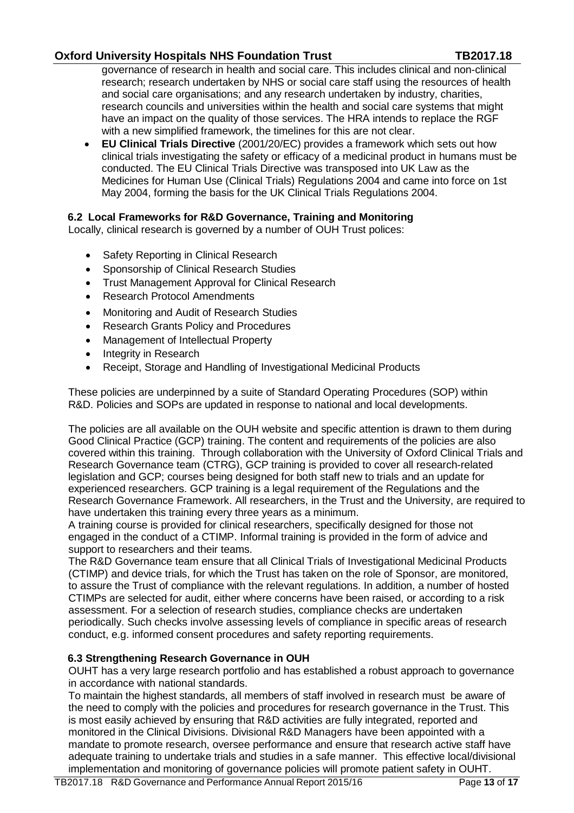governance of research in health and social care. This includes clinical and non-clinical research; research undertaken by NHS or social care staff using the resources of health and social care organisations; and any research undertaken by industry, charities, research councils and universities within the health and social care systems that might have an impact on the quality of those services. The HRA intends to replace the RGF with a new simplified framework, the timelines for this are not clear.

 **EU Clinical Trials Directive** (2001/20/EC) provides a framework which sets out how clinical trials investigating the safety or efficacy of a medicinal product in humans must be conducted. The EU Clinical Trials Directive was transposed into UK Law as the Medicines for Human Use (Clinical Trials) Regulations 2004 and came into force on 1st May 2004, forming the basis for the UK Clinical Trials Regulations 2004.

## **6.2 Local Frameworks for R&D Governance, Training and Monitoring**

Locally, clinical research is governed by a number of OUH Trust polices:

- Safety Reporting in Clinical Research
- Sponsorship of Clinical Research Studies
- Trust Management Approval for Clinical Research
- Research Protocol Amendments
- Monitoring and Audit of Research Studies
- Research Grants Policy and Procedures
- Management of Intellectual Property
- Integrity in Research
- Receipt, Storage and Handling of Investigational Medicinal Products

These policies are underpinned by a suite of Standard Operating Procedures (SOP) within R&D. Policies and SOPs are updated in response to national and local developments.

The policies are all available on the OUH website and specific attention is drawn to them during Good Clinical Practice (GCP) training. The content and requirements of the policies are also covered within this training. Through collaboration with the University of Oxford Clinical Trials and Research Governance team (CTRG), GCP training is provided to cover all research-related legislation and GCP; courses being designed for both staff new to trials and an update for experienced researchers. GCP training is a legal requirement of the Regulations and the Research Governance Framework. All researchers, in the Trust and the University, are required to have undertaken this training every three years as a minimum.

A training course is provided for clinical researchers, specifically designed for those not engaged in the conduct of a CTIMP. Informal training is provided in the form of advice and support to researchers and their teams.

The R&D Governance team ensure that all Clinical Trials of Investigational Medicinal Products (CTIMP) and device trials, for which the Trust has taken on the role of Sponsor, are monitored, to assure the Trust of compliance with the relevant regulations. In addition, a number of hosted CTIMPs are selected for audit, either where concerns have been raised, or according to a risk assessment. For a selection of research studies, compliance checks are undertaken periodically. Such checks involve assessing levels of compliance in specific areas of research conduct, e.g. informed consent procedures and safety reporting requirements.

#### **6.3 Strengthening Research Governance in OUH**

OUHT has a very large research portfolio and has established a robust approach to governance in accordance with national standards.

To maintain the highest standards, all members of staff involved in research must be aware of the need to comply with the policies and procedures for research governance in the Trust. This is most easily achieved by ensuring that R&D activities are fully integrated, reported and monitored in the Clinical Divisions. Divisional R&D Managers have been appointed with a mandate to promote research, oversee performance and ensure that research active staff have adequate training to undertake trials and studies in a safe manner. This effective local/divisional implementation and monitoring of governance policies will promote patient safety in OUHT.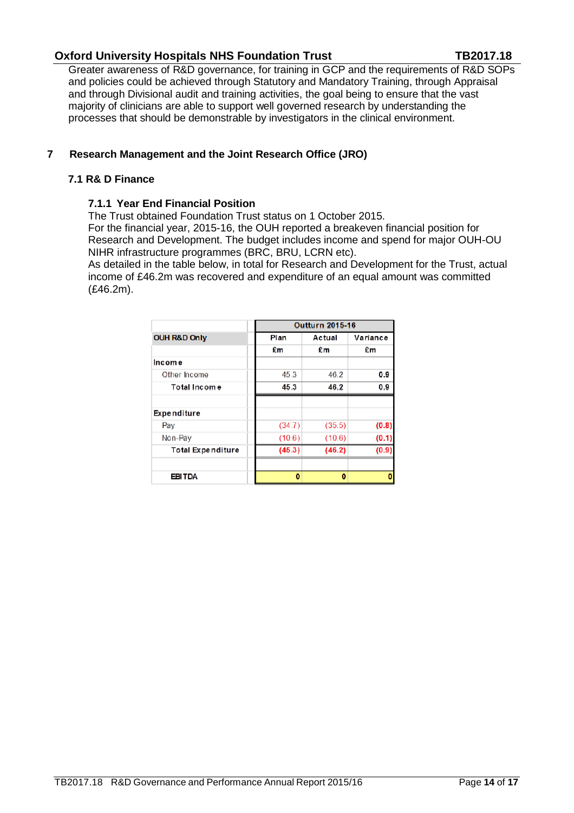Greater awareness of R&D governance, for training in GCP and the requirements of R&D SOPs and policies could be achieved through Statutory and Mandatory Training, through Appraisal and through Divisional audit and training activities, the goal being to ensure that the vast majority of clinicians are able to support well governed research by understanding the processes that should be demonstrable by investigators in the clinical environment.

## **7 Research Management and the Joint Research Office (JRO)**

## **7.1 R& D Finance**

## **7.1.1 Year End Financial Position**

The Trust obtained Foundation Trust status on 1 October 2015.

For the financial year, 2015-16, the OUH reported a breakeven financial position for Research and Development. The budget includes income and spend for major OUH-OU NIHR infrastructure programmes (BRC, BRU, LCRN etc).

As detailed in the table below, in total for Research and Development for the Trust, actual income of £46.2m was recovered and expenditure of an equal amount was committed (£46.2m).

|                          | <b>Outturn 2015-16</b> |        |          |
|--------------------------|------------------------|--------|----------|
| <b>OUH R&amp;D Only</b>  | Plan                   | Actual | Variance |
|                          | £m                     | £m     | £m       |
| Income                   |                        |        |          |
| Other Income             | 45.3                   | 46.2   | 0.9      |
| Total Income             | 45.3                   | 46.2   | 0.9      |
| Expenditure              |                        |        |          |
| Pay                      | (34.7)                 | (35.5) | (0.8)    |
| Non-Pay                  | (10.6)                 | (10.6) | (0.1)    |
| <b>Total Expenditure</b> | (45.3)                 | (46.2) | (0.9)    |
| <b>EBITDA</b>            | 0                      | 0      |          |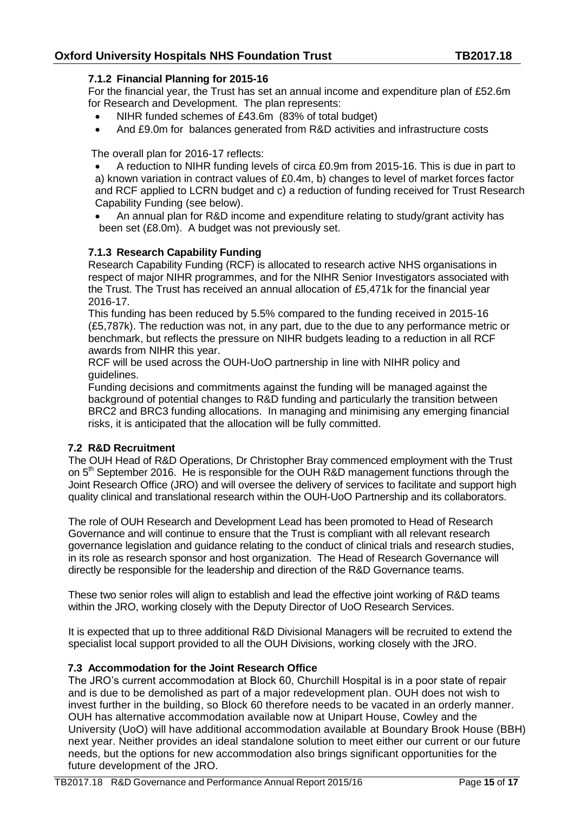## **7.1.2 Financial Planning for 2015-16**

For the financial year, the Trust has set an annual income and expenditure plan of £52.6m for Research and Development. The plan represents:

- NIHR funded schemes of £43.6m (83% of total budget)
- And £9.0m for balances generated from R&D activities and infrastructure costs

The overall plan for 2016-17 reflects:

 A reduction to NIHR funding levels of circa £0.9m from 2015-16. This is due in part to a) known variation in contract values of £0.4m, b) changes to level of market forces factor and RCF applied to LCRN budget and c) a reduction of funding received for Trust Research Capability Funding (see below).

 An annual plan for R&D income and expenditure relating to study/grant activity has been set (£8.0m). A budget was not previously set.

## **7.1.3 Research Capability Funding**

Research Capability Funding (RCF) is allocated to research active NHS organisations in respect of major NIHR programmes, and for the NIHR Senior Investigators associated with the Trust. The Trust has received an annual allocation of £5,471k for the financial year 2016-17.

This funding has been reduced by 5.5% compared to the funding received in 2015-16 (£5,787k). The reduction was not, in any part, due to the due to any performance metric or benchmark, but reflects the pressure on NIHR budgets leading to a reduction in all RCF awards from NIHR this year.

RCF will be used across the OUH-UoO partnership in line with NIHR policy and guidelines.

Funding decisions and commitments against the funding will be managed against the background of potential changes to R&D funding and particularly the transition between BRC2 and BRC3 funding allocations. In managing and minimising any emerging financial risks, it is anticipated that the allocation will be fully committed.

#### **7.2 R&D Recruitment**

The OUH Head of R&D Operations, Dr Christopher Bray commenced employment with the Trust on 5<sup>th</sup> September 2016. He is responsible for the OUH R&D management functions through the Joint Research Office (JRO) and will oversee the delivery of services to facilitate and support high quality clinical and translational research within the OUH-UoO Partnership and its collaborators.

The role of OUH Research and Development Lead has been promoted to Head of Research Governance and will continue to ensure that the Trust is compliant with all relevant research governance legislation and guidance relating to the conduct of clinical trials and research studies, in its role as research sponsor and host organization. The Head of Research Governance will directly be responsible for the leadership and direction of the R&D Governance teams.

These two senior roles will align to establish and lead the effective joint working of R&D teams within the JRO, working closely with the Deputy Director of UoO Research Services.

It is expected that up to three additional R&D Divisional Managers will be recruited to extend the specialist local support provided to all the OUH Divisions, working closely with the JRO.

## **7.3 Accommodation for the Joint Research Office**

The JRO's current accommodation at Block 60, Churchill Hospital is in a poor state of repair and is due to be demolished as part of a major redevelopment plan. OUH does not wish to invest further in the building, so Block 60 therefore needs to be vacated in an orderly manner. OUH has alternative accommodation available now at Unipart House, Cowley and the University (UoO) will have additional accommodation available at Boundary Brook House (BBH) next year. Neither provides an ideal standalone solution to meet either our current or our future needs, but the options for new accommodation also brings significant opportunities for the future development of the JRO.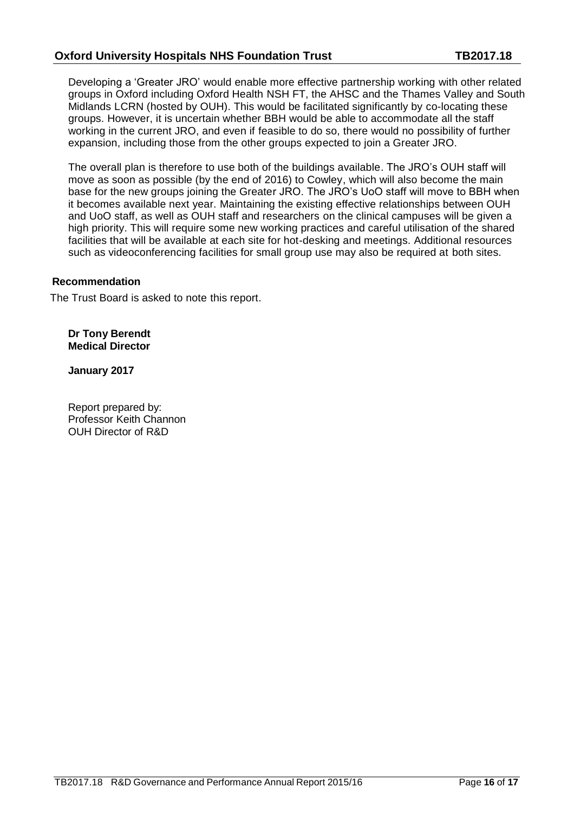Developing a 'Greater JRO' would enable more effective partnership working with other related groups in Oxford including Oxford Health NSH FT, the AHSC and the Thames Valley and South Midlands LCRN (hosted by OUH). This would be facilitated significantly by co-locating these groups. However, it is uncertain whether BBH would be able to accommodate all the staff working in the current JRO, and even if feasible to do so, there would no possibility of further expansion, including those from the other groups expected to join a Greater JRO.

The overall plan is therefore to use both of the buildings available. The JRO's OUH staff will move as soon as possible (by the end of 2016) to Cowley, which will also become the main base for the new groups joining the Greater JRO. The JRO's UoO staff will move to BBH when it becomes available next year. Maintaining the existing effective relationships between OUH and UoO staff, as well as OUH staff and researchers on the clinical campuses will be given a high priority. This will require some new working practices and careful utilisation of the shared facilities that will be available at each site for hot-desking and meetings. Additional resources such as videoconferencing facilities for small group use may also be required at both sites.

## **Recommendation**

The Trust Board is asked to note this report.

**Dr Tony Berendt Medical Director**

**January 2017**

Report prepared by: Professor Keith Channon OUH Director of R&D